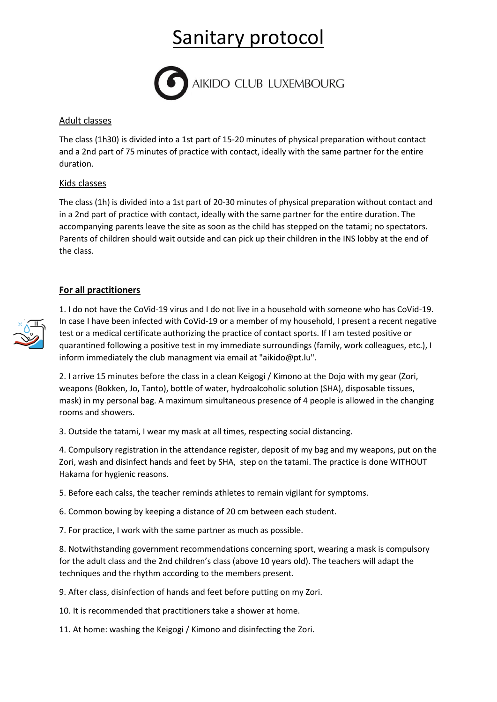# Sanitary protocol



#### Adult classes

The class (1h30) is divided into a 1st part of 15-20 minutes of physical preparation without contact and a 2nd part of 75 minutes of practice with contact, ideally with the same partner for the entire duration.

## Kids classes

The class (1h) is divided into a 1st part of 20-30 minutes of physical preparation without contact and in a 2nd part of practice with contact, ideally with the same partner for the entire duration. The accompanying parents leave the site as soon as the child has stepped on the tatami; no spectators. Parents of children should wait outside and can pick up their children in the INS lobby at the end of the class.

## **For all practitioners**



1. I do not have the CoVid-19 virus and I do not live in a household with someone who has CoVid-19. In case I have been infected with CoVid-19 or a member of my household, I present a recent negative test or a medical certificate authorizing the practice of contact sports. If I am tested positive or quarantined following a positive test in my immediate surroundings (family, work colleagues, etc.), I inform immediately the club managment via email at "aikido@pt.lu".

2. I arrive 15 minutes before the class in a clean Keigogi / Kimono at the Dojo with my gear (Zori, weapons (Bokken, Jo, Tanto), bottle of water, hydroalcoholic solution (SHA), disposable tissues, mask) in my personal bag. A maximum simultaneous presence of 4 people is allowed in the changing rooms and showers.

3. Outside the tatami, I wear my mask at all times, respecting social distancing.

4. Compulsory registration in the attendance register, deposit of my bag and my weapons, put on the Zori, wash and disinfect hands and feet by SHA, step on the tatami. The practice is done WITHOUT Hakama for hygienic reasons.

5. Before each calss, the teacher reminds athletes to remain vigilant for symptoms.

6. Common bowing by keeping a distance of 20 cm between each student.

7. For practice, I work with the same partner as much as possible.

8. Notwithstanding government recommendations concerning sport, wearing a mask is compulsory for the adult class and the 2nd children's class (above 10 years old). The teachers will adapt the techniques and the rhythm according to the members present.

9. After class, disinfection of hands and feet before putting on my Zori.

10. It is recommended that practitioners take a shower at home.

11. At home: washing the Keigogi / Kimono and disinfecting the Zori.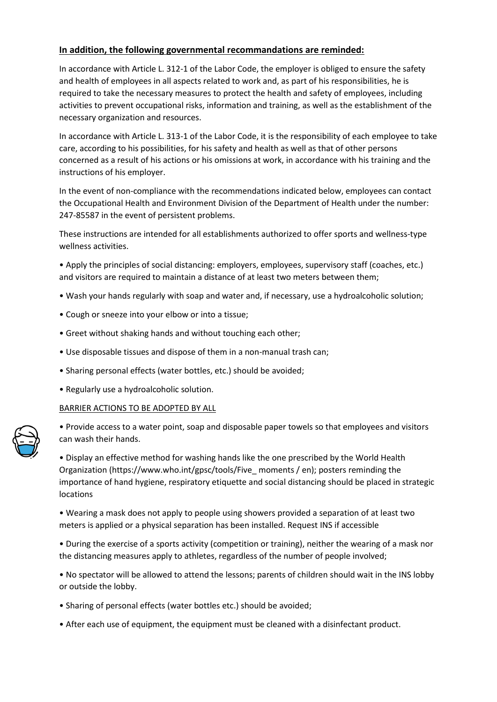## **In addition, the following governmental recommandations are reminded:**

In accordance with Article L. 312-1 of the Labor Code, the employer is obliged to ensure the safety and health of employees in all aspects related to work and, as part of his responsibilities, he is required to take the necessary measures to protect the health and safety of employees, including activities to prevent occupational risks, information and training, as well as the establishment of the necessary organization and resources.

In accordance with Article L. 313-1 of the Labor Code, it is the responsibility of each employee to take care, according to his possibilities, for his safety and health as well as that of other persons concerned as a result of his actions or his omissions at work, in accordance with his training and the instructions of his employer.

In the event of non-compliance with the recommendations indicated below, employees can contact the Occupational Health and Environment Division of the Department of Health under the number: 247-85587 in the event of persistent problems.

These instructions are intended for all establishments authorized to offer sports and wellness-type wellness activities.

• Apply the principles of social distancing: employers, employees, supervisory staff (coaches, etc.) and visitors are required to maintain a distance of at least two meters between them;

- Wash your hands regularly with soap and water and, if necessary, use a hydroalcoholic solution;
- Cough or sneeze into your elbow or into a tissue;
- Greet without shaking hands and without touching each other;
- Use disposable tissues and dispose of them in a non-manual trash can;
- Sharing personal effects (water bottles, etc.) should be avoided;
- Regularly use a hydroalcoholic solution.

#### BARRIER ACTIONS TO BE ADOPTED BY ALL

• Provide access to a water point, soap and disposable paper towels so that employees and visitors can wash their hands.

• Display an effective method for washing hands like the one prescribed by the World Health Organization (https://www.who.int/gpsc/tools/Five\_ moments / en); posters reminding the importance of hand hygiene, respiratory etiquette and social distancing should be placed in strategic locations

• Wearing a mask does not apply to people using showers provided a separation of at least two meters is applied or a physical separation has been installed. Request INS if accessible

• During the exercise of a sports activity (competition or training), neither the wearing of a mask nor the distancing measures apply to athletes, regardless of the number of people involved;

• No spectator will be allowed to attend the lessons; parents of children should wait in the INS lobby or outside the lobby.

- Sharing of personal effects (water bottles etc.) should be avoided;
- After each use of equipment, the equipment must be cleaned with a disinfectant product.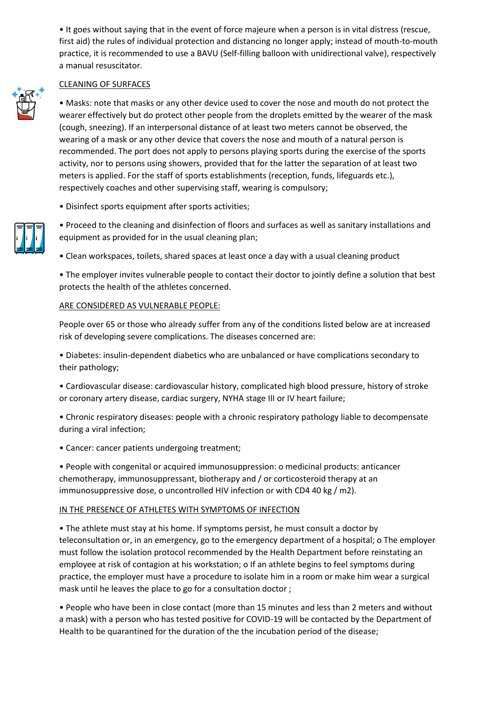• It goes without saying that in the event of force majeure when a person is in vital distress (rescue, first aid) the rules of individual protection and distancing no longer apply; instead of mouth-to-mouth practice, it is recommended to use a BAVU (Self-filling balloon with unidirectional valve), respectively a manual resuscitator.

#### CLEANING OF SURFACES

• Masks: note that masks or any other device used to cover the nose and mouth do not protect the wearer effectively but do protect other people from the droplets emitted by the wearer of the mask (cough, sneezing). If an interpersonal distance of at least two meters cannot be observed, the wearing of a mask or any other device that covers the nose and mouth of a natural person is recommended. The port does not apply to persons playing sports during the exercise of the sports activity, nor to persons using showers, provided that for the latter the separation of at least two meters is applied. For the staff of sports establishments (reception, funds, lifeguards etc.), respectively coaches and other supervising staff, wearing is compulsory;

• Disinfect sports equipment after sports activities;



• Proceed to the cleaning and disinfection of floors and surfaces as well as sanitary installations and equipment as provided for in the usual cleaning plan;

• Clean workspaces, toilets, shared spaces at least once a day with a usual cleaning product

• The employer invites vulnerable people to contact their doctor to jointly define a solution that best protects the health of the athletes concerned.

#### ARE CONSIDERED AS VULNERABLE PEOPLE:

People over 65 or those who already suffer from any of the conditions listed below are at increased risk of developing severe complications. The diseases concerned are:

• Diabetes: insulin-dependent diabetics who are unbalanced or have complications secondary to their pathology;

• Cardiovascular disease: cardiovascular history, complicated high blood pressure, history of stroke or coronary artery disease, cardiac surgery, NYHA stage III or IV heart failure;

• Chronic respiratory diseases: people with a chronic respiratory pathology liable to decompensate during a viral infection;

• Cancer: cancer patients undergoing treatment;

• People with congenital or acquired immunosuppression: o medicinal products: anticancer chemotherapy, immunosuppressant, biotherapy and / or corticosteroid therapy at an immunosuppressive dose, o uncontrolled HIV infection or with CD4 40 kg / m2).

### IN THE PRESENCE OF ATHLETES WITH SYMPTOMS OF INFECTION

• The athlete must stay at his home. If symptoms persist, he must consult a doctor by teleconsultation or, in an emergency, go to the emergency department of a hospital; o The employer must follow the isolation protocol recommended by the Health Department before reinstating an employee at risk of contagion at his workstation; o If an athlete begins to feel symptoms during practice, the employer must have a procedure to isolate him in a room or make him wear a surgical mask until he leaves the place to go for a consultation doctor ;

• People who have been in close contact (more than 15 minutes and less than 2 meters and without a mask) with a person who has tested positive for COVID-19 will be contacted by the Department of Health to be quarantined for the duration of the the incubation period of the disease;